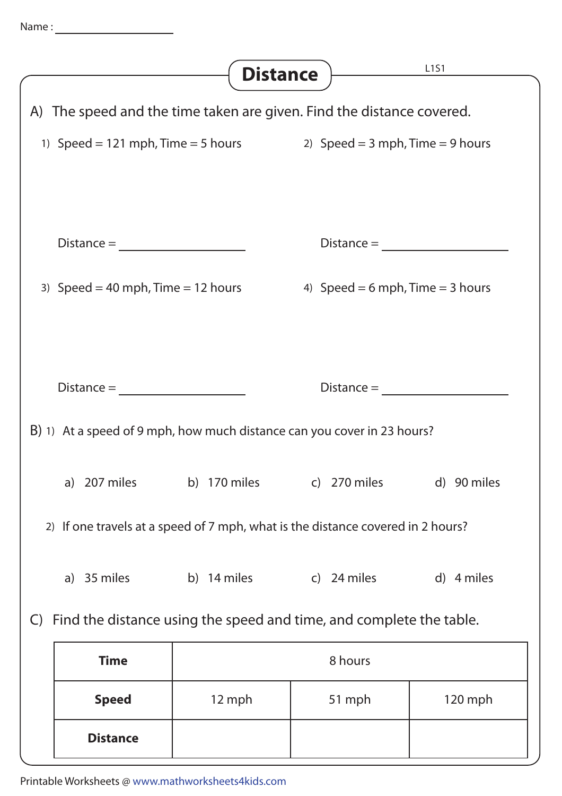|                                                                                     | <b>Distance</b> |                                  | L1S1        |  |
|-------------------------------------------------------------------------------------|-----------------|----------------------------------|-------------|--|
| A) The speed and the time taken are given. Find the distance covered.               |                 |                                  |             |  |
| 1) Speed = 121 mph, Time = 5 hours 2) Speed = 3 mph, Time = 9 hours                 |                 |                                  |             |  |
|                                                                                     |                 |                                  |             |  |
| $Distance =$                                                                        |                 |                                  |             |  |
| 3) Speed = 40 mph, Time = 12 hours                                                  |                 | 4) Speed = 6 mph, Time = 3 hours |             |  |
|                                                                                     |                 |                                  |             |  |
|                                                                                     |                 |                                  |             |  |
|                                                                                     | $Distance =$    |                                  |             |  |
| B) 1) At a speed of 9 mph, how much distance can you cover in 23 hours?             |                 |                                  |             |  |
|                                                                                     |                 |                                  |             |  |
| a) 207 miles                                                                        |                 | b) 170 miles c) 270 miles        | d) 90 miles |  |
| 2) If one travels at a speed of 7 mph, what is the distance covered in 2 hours?     |                 |                                  |             |  |
| a) 35 miles                                                                         | b) 14 miles     | c) 24 miles                      | d) 4 miles  |  |
| Find the distance using the speed and time, and complete the table.<br>$\mathsf{C}$ |                 |                                  |             |  |
| <b>Time</b>                                                                         | 8 hours         |                                  |             |  |
| <b>Speed</b>                                                                        | 12 mph          | 51 mph                           | 120 mph     |  |
| <b>Distance</b>                                                                     |                 |                                  |             |  |

Printable Worksheets @ www.mathworksheets4kids.com